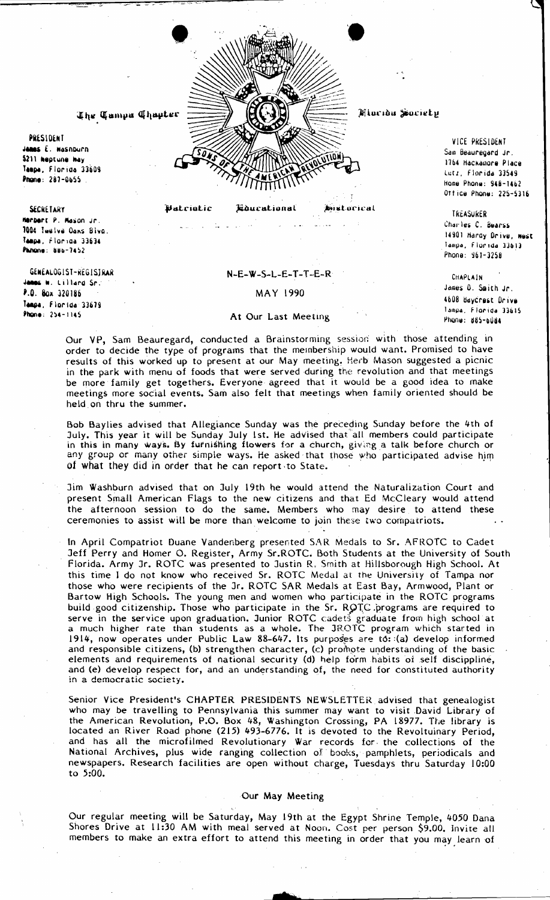Mlacida Society UTION

The Tumpa Thapter

PRESIDENT James E. Wasnburn 5211 heptune hay Tanna, Florida 33609 Phone: 287-0655

Batriotic

VICE PRESIDENT Sam Beaunegand Jr. 1764 Hackawore Place Lutz, Florida 33549 Hame Phone: 948-1462 Ottice Phone: 225-5316

**TREASURER** 

Charles C. Bearss

Phone: 961-3258

James O. Smith Jr.

4608 BayCrest Drive

Phone: 885-6084

Tampa, Florida 33615

CHAPLAIN

14901 Hardy Drive, west

Tampa, Florida 33613

Educational

**Anistocical** 

**SECRETARY** Herbert P. Mason Jr. 1004 Twelve Dans Blvg. Tampa, Florida 33634 Panone: 886-7452

GENEALOGIST-REGISJRAR Jamms W. Lillard Sr. P.O. Box 320186 Tempe, Florida 33679 Phane: 254-1145

### $N-E-W-S-L-E-T-T-E-R$

# MAY 1990

### At Our Last Meeting

Our VP, Sam Beauregard, conducted a Brainstorming session with those attending in order to decide the type of programs that the membership would want. Promised to have results of this worked up to present at our May meeting. Herb Mason suggested a picnic in the park with menu of foods that were served during the revolution and that meetings be more family get togethers. Everyone agreed that it would be a good idea to make meetings more social events. Sam also felt that meetings when family oriented should be held on thru the summer.

Bob Baylies advised that Allegiance Sunday was the preceding Sunday before the 4th of July. This year it will be Sunday July 1st. He advised that all members could participate in this in many ways. By furnishing flowers for a church, giving a talk before church or any group or many other simple ways. He asked that those who participated advise him of what they did in order that he can report to State.

Jim Washburn advised that on July 19th he would attend the Naturalization Court and present Small American Flags to the new citizens and that Ed McCleary would attend<br>the afternoon session to do the same. Members who may desire to attend these ceremonies to assist will be more than welcome to join these two compatriots.

In April Compatriot Duane Vandenberg presented SAR Medals to Sr. AFROTC to Cadet Jeff Perry and Homer O. Register, Army Sr.ROTC. Both Students at the University of South Florida. Army Jr. ROTC was presented to Justin R. Smith at Hillsborough High School. At this time I do not know who received Sr. ROTC Medal at the University of Tampa nor those who were recipients of the Jr. ROTC SAR Medals at East Bay, Armwood, Plant or Bartow High Schools. The young men and women who participate in the ROTC programs build good citizenship. Those who participate in the Sr. ROTC programs are required to serve in the service upon graduation. Junior ROTC cadets graduate from high school at a much higher rate than students as a whole. The JROTC program which started in 1914, now operates under Public Law 88-647. Its purposes are to: (a) develop informed and responsible citizens, (b) strengthen character, (c) promote understanding of the basic elements and requirements of national security (d) help form habits of self discippline, and (e) develop respect for, and an understanding of, the need for constituted authority in a democratic society.

Senior Vice President's CHAPTER PRESIDENTS NEWSLETTER advised that genealogist who may be travelling to Pennsylvania this summer may want to visit David Library of the American Revolution, P.O. Box 48, Washington Crossing, PA 18977. The library is located an River Road phone (215) 493-6776. It is devoted to the Revoltuinary Period, and has all the microfilmed Revolutionary War records for the collections of the National Archives, plus wide ranging collection of books, pamphlets, periodicals and newspapers. Research facilities are open without charge, Tuesdays thru Saturday 10:00 to 5:00.

#### Our May Meeting

Our regular meeting will be Saturday, May 19th at the Egypt Shrine Temple, 4050 Dana Shores Drive at 11:30 AM with meal served at Noon. Cost per person \$9.00. Invite all members to make an extra effort to attend this meeting in order that you may learn of